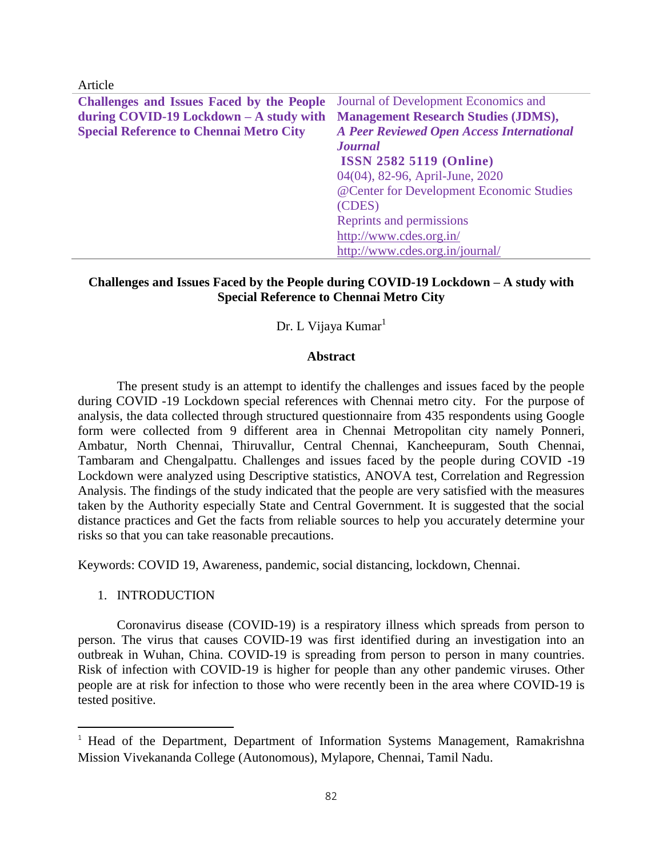Article

| <b>Challenges and Issues Faced by the People</b> | Journal of Development Economics and             |
|--------------------------------------------------|--------------------------------------------------|
| during $COVID-19$ Lockdown $-A$ study with       | <b>Management Research Studies (JDMS),</b>       |
| <b>Special Reference to Chennai Metro City</b>   | <b>A Peer Reviewed Open Access International</b> |
|                                                  | <b>Journal</b>                                   |
|                                                  | <b>ISSN 2582 5119 (Online)</b>                   |
|                                                  | 04(04), 82-96, April-June, 2020                  |
|                                                  | @Center for Development Economic Studies         |
|                                                  | (CDES)                                           |
|                                                  | Reprints and permissions                         |
|                                                  | http://www.cdes.org.in/                          |
|                                                  | http://www.cdes.org.in/journal/                  |

### **Challenges and Issues Faced by the People during COVID-19 Lockdown – A study with Special Reference to Chennai Metro City**

### Dr. L Vijaya Kumar<sup>1</sup>

#### **Abstract**

The present study is an attempt to identify the challenges and issues faced by the people during COVID -19 Lockdown special references with Chennai metro city. For the purpose of analysis, the data collected through structured questionnaire from 435 respondents using Google form were collected from 9 different area in Chennai Metropolitan city namely Ponneri, Ambatur, North Chennai, Thiruvallur, Central Chennai, Kancheepuram, South Chennai, Tambaram and Chengalpattu. Challenges and issues faced by the people during COVID -19 Lockdown were analyzed using Descriptive statistics, ANOVA test, Correlation and Regression Analysis. The findings of the study indicated that the people are very satisfied with the measures taken by the Authority especially State and Central Government. It is suggested that the social distance practices and Get the facts from reliable sources to help you accurately determine your risks so that you can take reasonable precautions.

Keywords: COVID 19, Awareness, pandemic, social distancing, lockdown, Chennai.

#### 1. INTRODUCTION

l

Coronavirus disease (COVID-19) is a respiratory illness which spreads from person to person. The virus that causes COVID-19 was first identified during an investigation into an outbreak in Wuhan, China. COVID-19 is spreading from person to person in many countries. Risk of infection with COVID-19 is higher for people than any other pandemic viruses. Other people are at risk for infection to those who were recently been in the area where COVID-19 is tested positive.

<sup>&</sup>lt;sup>1</sup> Head of the Department, Department of Information Systems Management, Ramakrishna Mission Vivekananda College (Autonomous), Mylapore, Chennai, Tamil Nadu.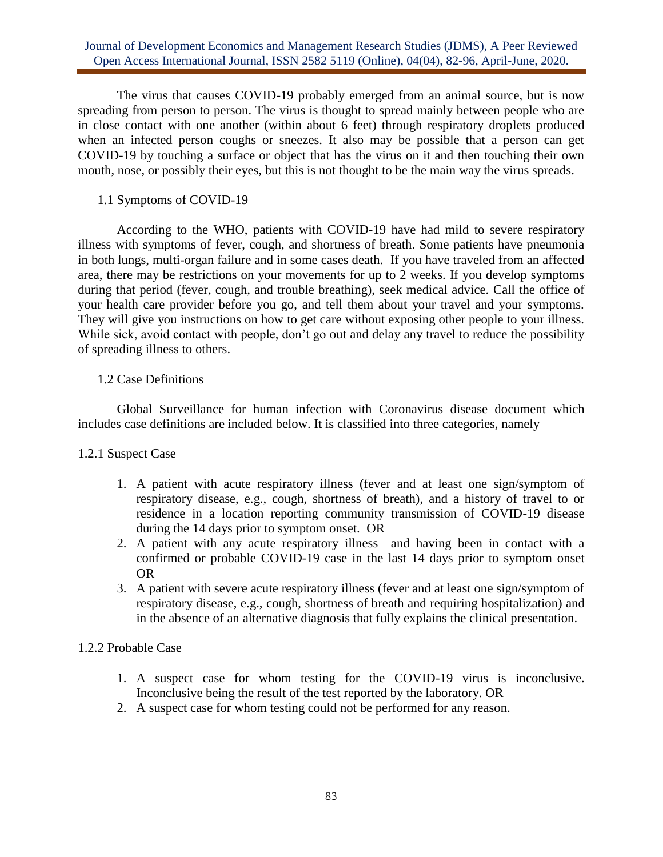The virus that causes COVID-19 probably emerged from an animal source, but is now spreading from person to person. The virus is thought to spread mainly between people who are in close contact with one another (within about 6 feet) through respiratory droplets produced when an infected person coughs or sneezes. It also may be possible that a person can get COVID-19 by touching a surface or object that has the virus on it and then touching their own mouth, nose, or possibly their eyes, but this is not thought to be the main way the virus spreads.

### 1.1 Symptoms of COVID-19

According to the WHO, patients with COVID-19 have had mild to severe respiratory illness with symptoms of fever, cough, and shortness of breath. Some patients have pneumonia in both lungs, multi-organ failure and in some cases death. If you have traveled from an affected area, there may be restrictions on your movements for up to 2 weeks. If you develop symptoms during that period (fever, cough, and trouble breathing), seek medical advice. Call the office of your health care provider before you go, and tell them about your travel and your symptoms. They will give you instructions on how to get care without exposing other people to your illness. While sick, avoid contact with people, don't go out and delay any travel to reduce the possibility of spreading illness to others.

### 1.2 Case Definitions

Global Surveillance for human infection with Coronavirus disease document which includes case definitions are included below. It is classified into three categories, namely

## 1.2.1 Suspect Case

- 1. A patient with acute respiratory illness (fever and at least one sign/symptom of respiratory disease, e.g., cough, shortness of breath), and a history of travel to or residence in a location reporting community transmission of COVID-19 disease during the 14 days prior to symptom onset. OR
- 2. A patient with any acute respiratory illness and having been in contact with a confirmed or probable COVID-19 case in the last 14 days prior to symptom onset OR
- 3. A patient with severe acute respiratory illness (fever and at least one sign/symptom of respiratory disease, e.g., cough, shortness of breath and requiring hospitalization) and in the absence of an alternative diagnosis that fully explains the clinical presentation.

## 1.2.2 Probable Case

- 1. A suspect case for whom testing for the COVID-19 virus is inconclusive. Inconclusive being the result of the test reported by the laboratory. OR
- 2. A suspect case for whom testing could not be performed for any reason.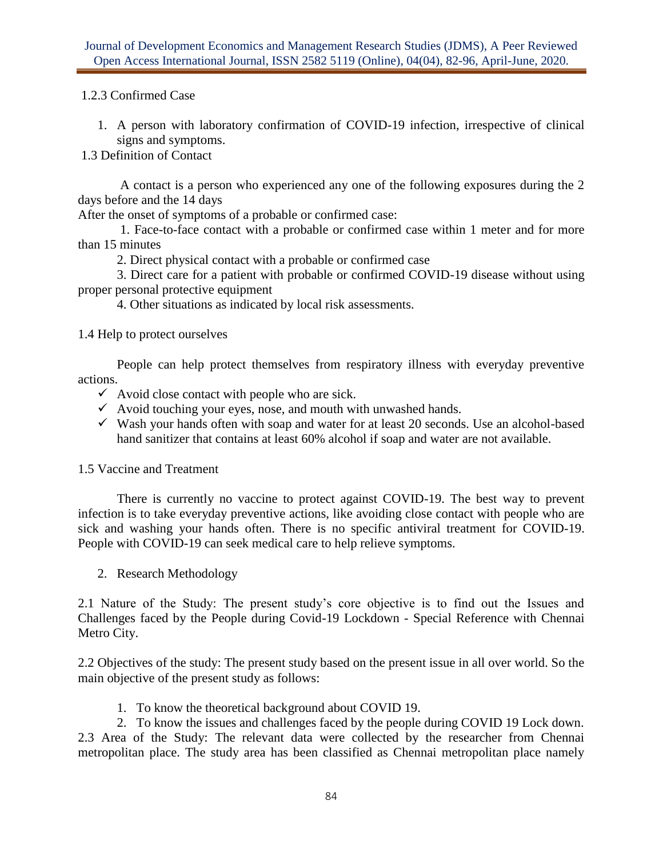### 1.2.3 Confirmed Case

1. A person with laboratory confirmation of COVID-19 infection, irrespective of clinical signs and symptoms.

1.3 Definition of Contact

A contact is a person who experienced any one of the following exposures during the 2 days before and the 14 days

After the onset of symptoms of a probable or confirmed case:

1. Face-to-face contact with a probable or confirmed case within 1 meter and for more than 15 minutes

2. Direct physical contact with a probable or confirmed case

3. Direct care for a patient with probable or confirmed COVID-19 disease without using proper personal protective equipment

4. Other situations as indicated by local risk assessments.

1.4 Help to protect ourselves

People can help protect themselves from respiratory illness with everyday preventive actions.

- $\checkmark$  Avoid close contact with people who are sick.
- $\checkmark$  Avoid touching your eyes, nose, and mouth with unwashed hands.
- $\checkmark$  Wash your hands often with soap and water for at least 20 seconds. Use an alcohol-based hand sanitizer that contains at least 60% alcohol if soap and water are not available.
- 1.5 Vaccine and Treatment

There is currently no vaccine to protect against COVID-19. The best way to prevent infection is to take everyday preventive actions, like avoiding close contact with people who are sick and washing your hands often. There is no specific antiviral treatment for COVID-19. People with COVID-19 can seek medical care to help relieve symptoms.

2. Research Methodology

2.1 Nature of the Study: The present study's core objective is to find out the Issues and Challenges faced by the People during Covid-19 Lockdown - Special Reference with Chennai Metro City.

2.2 Objectives of the study: The present study based on the present issue in all over world. So the main objective of the present study as follows:

1. To know the theoretical background about COVID 19.

2. To know the issues and challenges faced by the people during COVID 19 Lock down. 2.3 Area of the Study: The relevant data were collected by the researcher from Chennai metropolitan place. The study area has been classified as Chennai metropolitan place namely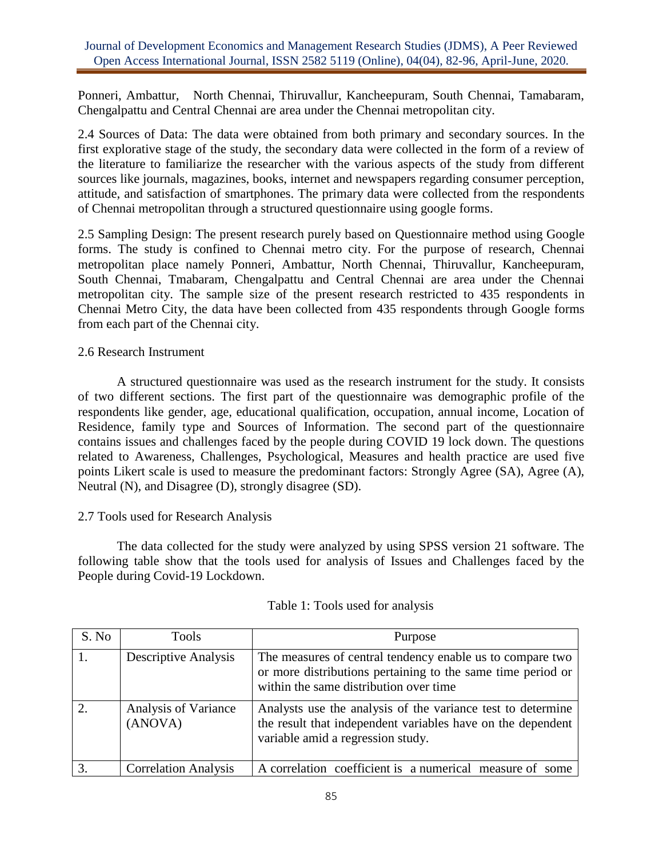Ponneri, Ambattur, North Chennai, Thiruvallur, Kancheepuram, South Chennai, Tamabaram, Chengalpattu and Central Chennai are area under the Chennai metropolitan city.

2.4 Sources of Data: The data were obtained from both primary and secondary sources. In the first explorative stage of the study, the secondary data were collected in the form of a review of the literature to familiarize the researcher with the various aspects of the study from different sources like journals, magazines, books, internet and newspapers regarding consumer perception, attitude, and satisfaction of smartphones. The primary data were collected from the respondents of Chennai metropolitan through a structured questionnaire using google forms.

2.5 Sampling Design: The present research purely based on Questionnaire method using Google forms. The study is confined to Chennai metro city. For the purpose of research, Chennai metropolitan place namely Ponneri, Ambattur, North Chennai, Thiruvallur, Kancheepuram, South Chennai, Tmabaram, Chengalpattu and Central Chennai are area under the Chennai metropolitan city. The sample size of the present research restricted to 435 respondents in Chennai Metro City, the data have been collected from 435 respondents through Google forms from each part of the Chennai city.

### 2.6 Research Instrument

A structured questionnaire was used as the research instrument for the study. It consists of two different sections. The first part of the questionnaire was demographic profile of the respondents like gender, age, educational qualification, occupation, annual income, Location of Residence, family type and Sources of Information. The second part of the questionnaire contains issues and challenges faced by the people during COVID 19 lock down. The questions related to Awareness, Challenges, Psychological, Measures and health practice are used five points Likert scale is used to measure the predominant factors: Strongly Agree (SA), Agree (A), Neutral (N), and Disagree (D), strongly disagree (SD).

## 2.7 Tools used for Research Analysis

The data collected for the study were analyzed by using SPSS version 21 software. The following table show that the tools used for analysis of Issues and Challenges faced by the People during Covid-19 Lockdown.

| S. No | Tools                           | Purpose                                                                                                                                                            |
|-------|---------------------------------|--------------------------------------------------------------------------------------------------------------------------------------------------------------------|
|       | <b>Descriptive Analysis</b>     | The measures of central tendency enable us to compare two<br>or more distributions pertaining to the same time period or<br>within the same distribution over time |
|       | Analysis of Variance<br>(ANOVA) | Analysts use the analysis of the variance test to determine<br>the result that independent variables have on the dependent<br>variable amid a regression study.    |
|       | <b>Correlation Analysis</b>     | A correlation coefficient is a numerical measure of some                                                                                                           |

## Table 1: Tools used for analysis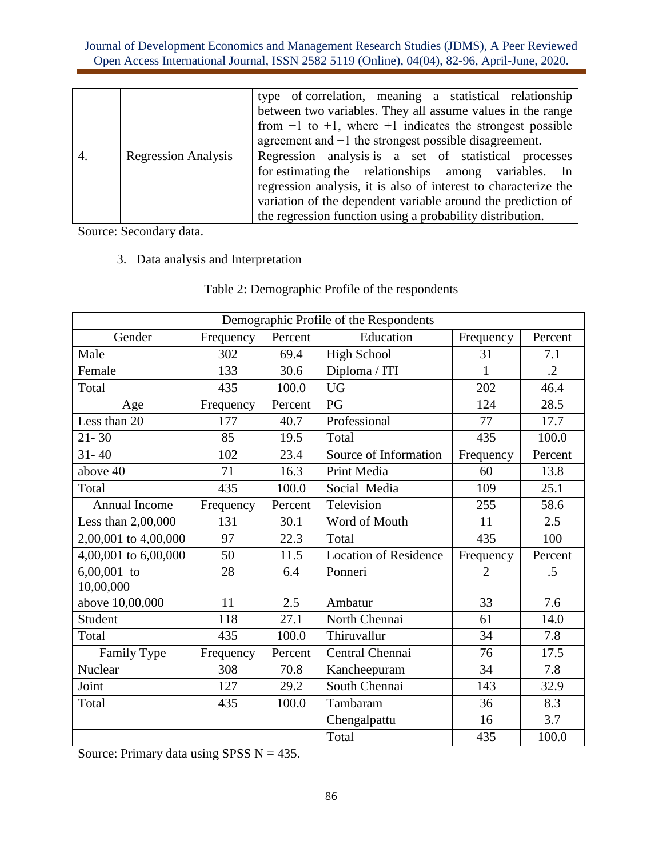|    |                            | type of correlation, meaning a statistical relationship<br>between two variables. They all assume values in the range |
|----|----------------------------|-----------------------------------------------------------------------------------------------------------------------|
|    |                            | from $-1$ to $+1$ , where $+1$ indicates the strongest possible                                                       |
|    |                            | agreement and $-1$ the strongest possible disagreement.                                                               |
| 4. | <b>Regression Analysis</b> | Regression analysis is a set of statistical processes<br>for estimating the relationships among variables. In         |
|    |                            | regression analysis, it is also of interest to characterize the                                                       |
|    |                            | variation of the dependent variable around the prediction of                                                          |
|    |                            | the regression function using a probability distribution.                                                             |

Source: Secondary data.

# 3. Data analysis and Interpretation

|                      | Demographic Profile of the Respondents |         |                              |                |            |  |  |  |
|----------------------|----------------------------------------|---------|------------------------------|----------------|------------|--|--|--|
| Gender               | Frequency                              | Percent | Education                    | Frequency      | Percent    |  |  |  |
| Male                 | 302                                    | 69.4    | <b>High School</b>           | 31             | 7.1        |  |  |  |
| Female               | 133                                    | 30.6    | Diploma / ITI                | 1              | $\cdot$ .2 |  |  |  |
| Total                | 435                                    | 100.0   | <b>UG</b>                    | 202            | 46.4       |  |  |  |
| Age                  | Frequency                              | Percent | PG                           | 124            | 28.5       |  |  |  |
| Less than 20         | 177                                    | 40.7    | Professional                 | 77             | 17.7       |  |  |  |
| $21 - 30$            | 85                                     | 19.5    | Total                        | 435            | 100.0      |  |  |  |
| $31 - 40$            | 102                                    | 23.4    | Source of Information        | Frequency      | Percent    |  |  |  |
| above 40             | 71                                     | 16.3    | Print Media                  | 60             | 13.8       |  |  |  |
| Total                | 435                                    | 100.0   | Social Media                 | 109            | 25.1       |  |  |  |
| Annual Income        | Frequency                              | Percent | Television                   | 255            | 58.6       |  |  |  |
| Less than 2,00,000   | 131                                    | 30.1    | Word of Mouth                | 11             | 2.5        |  |  |  |
| 2,00,001 to 4,00,000 | 97                                     | 22.3    | Total                        | 435            | 100        |  |  |  |
| 4,00,001 to 6,00,000 | 50                                     | 11.5    | <b>Location of Residence</b> | Frequency      | Percent    |  |  |  |
| $6,00,001$ to        | 28                                     | 6.4     | Ponneri                      | $\overline{2}$ | $.5\,$     |  |  |  |
| 10,00,000            | 11                                     |         | Ambatur                      |                | 7.6        |  |  |  |
| above 10,00,000      |                                        | 2.5     |                              | 33             |            |  |  |  |
| Student              | 118                                    | 27.1    | North Chennai                | 61             | 14.0       |  |  |  |
| Total                | 435                                    | 100.0   | Thiruvallur                  | 34             | 7.8        |  |  |  |
| Family Type          | Frequency                              | Percent | Central Chennai              | 76             | 17.5       |  |  |  |
| Nuclear              | 308                                    | 70.8    | Kancheepuram                 | 34             | 7.8        |  |  |  |
| Joint                | 127                                    | 29.2    | South Chennai                | 143            | 32.9       |  |  |  |
| Total                | 435                                    | 100.0   | Tambaram                     | 36             | 8.3        |  |  |  |
|                      |                                        |         | Chengalpattu                 | 16             | 3.7        |  |  |  |
|                      |                                        |         | Total                        | 435            | 100.0      |  |  |  |

# Table 2: Demographic Profile of the respondents

Source: Primary data using SPSS  $N = 435$ .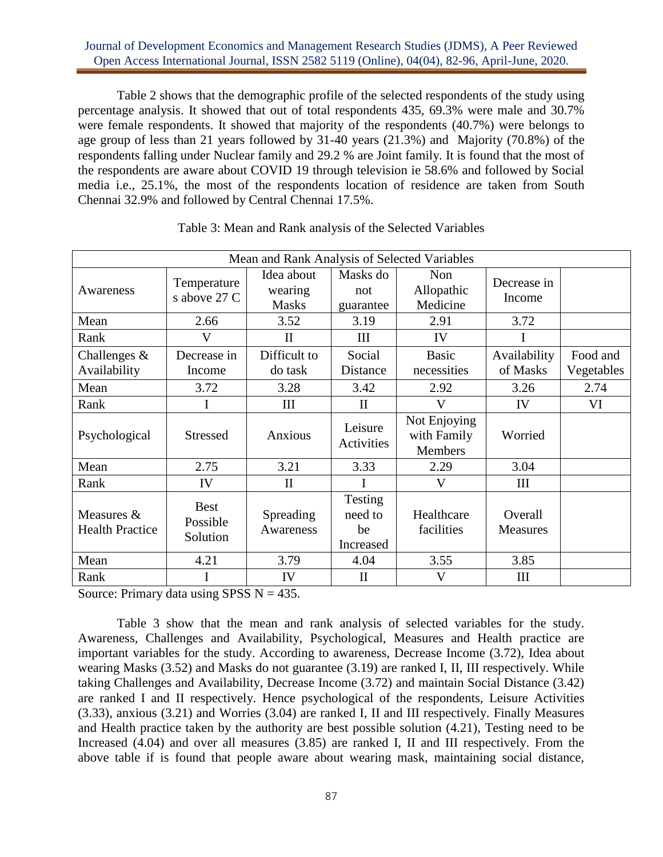Table 2 shows that the demographic profile of the selected respondents of the study using percentage analysis. It showed that out of total respondents 435, 69.3% were male and 30.7% were female respondents. It showed that majority of the respondents (40.7%) were belongs to age group of less than 21 years followed by 31-40 years (21.3%) and Majority (70.8%) of the respondents falling under Nuclear family and 29.2 % are Joint family. It is found that the most of the respondents are aware about COVID 19 through television ie 58.6% and followed by Social media i.e., 25.1%, the most of the respondents location of residence are taken from South Chennai 32.9% and followed by Central Chennai 17.5%.

|                                      |                                     | Mean and Rank Analysis of Selected Variables |                                       |                                        |                          |                        |
|--------------------------------------|-------------------------------------|----------------------------------------------|---------------------------------------|----------------------------------------|--------------------------|------------------------|
| Awareness                            | Temperature<br>s above 27 C         | Idea about<br>wearing<br><b>Masks</b>        | Masks do<br>not<br>guarantee          | <b>Non</b><br>Allopathic<br>Medicine   | Decrease in<br>Income    |                        |
| Mean                                 | 2.66                                | 3.52                                         | 3.19                                  | 2.91                                   | 3.72                     |                        |
| Rank                                 | V                                   | $\mathbf{I}$                                 | III                                   | IV                                     |                          |                        |
| Challenges $\&$<br>Availability      | Decrease in<br>Income               | Difficult to<br>do task                      | Social<br>Distance                    | <b>Basic</b><br>necessities            | Availability<br>of Masks | Food and<br>Vegetables |
| Mean                                 | 3.72                                | 3.28                                         | 3.42                                  | 2.92                                   | 3.26                     | 2.74                   |
| Rank                                 | I                                   | Ш                                            | $\rm II$                              | V                                      | IV                       | VI                     |
| Psychological                        | <b>Stressed</b>                     | Anxious                                      | Leisure<br>Activities                 | Not Enjoying<br>with Family<br>Members | Worried                  |                        |
| Mean                                 | 2.75                                | 3.21                                         | 3.33                                  | 2.29                                   | 3.04                     |                        |
| Rank                                 | IV                                  | $\mathbf{I}$                                 | I                                     | $\mathbf{V}$                           | III                      |                        |
| Measures &<br><b>Health Practice</b> | <b>Best</b><br>Possible<br>Solution | Spreading<br>Awareness                       | Testing<br>need to<br>be<br>Increased | Healthcare<br>facilities               | Overall<br>Measures      |                        |
| Mean                                 | 4.21                                | 3.79                                         | 4.04                                  | 3.55                                   | 3.85                     |                        |
| Rank                                 |                                     | IV                                           | $\mathbf{I}$                          | V                                      | Ш                        |                        |

| Table 3: Mean and Rank analysis of the Selected Variables |  |  |  |  |  |  |  |  |  |  |  |  |
|-----------------------------------------------------------|--|--|--|--|--|--|--|--|--|--|--|--|
|-----------------------------------------------------------|--|--|--|--|--|--|--|--|--|--|--|--|

Source: Primary data using SPSS  $N = 435$ .

Table 3 show that the mean and rank analysis of selected variables for the study. Awareness, Challenges and Availability, Psychological, Measures and Health practice are important variables for the study. According to awareness, Decrease Income (3.72), Idea about wearing Masks (3.52) and Masks do not guarantee (3.19) are ranked I, II, III respectively. While taking Challenges and Availability, Decrease Income (3.72) and maintain Social Distance (3.42) are ranked I and II respectively. Hence psychological of the respondents, Leisure Activities (3.33), anxious (3.21) and Worries (3.04) are ranked I, II and III respectively. Finally Measures and Health practice taken by the authority are best possible solution (4.21), Testing need to be Increased (4.04) and over all measures (3.85) are ranked I, II and III respectively. From the above table if is found that people aware about wearing mask, maintaining social distance,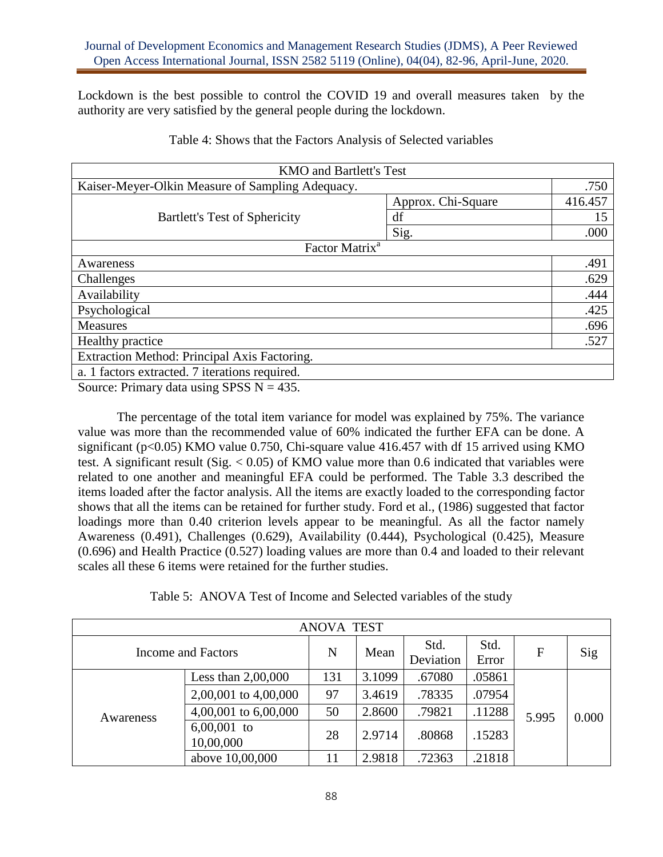Lockdown is the best possible to control the COVID 19 and overall measures taken by the authority are very satisfied by the general people during the lockdown.

| <b>KMO</b> and Bartlett's Test                   |                    |         |  |  |
|--------------------------------------------------|--------------------|---------|--|--|
| Kaiser-Meyer-Olkin Measure of Sampling Adequacy. |                    |         |  |  |
|                                                  | Approx. Chi-Square | 416.457 |  |  |
| <b>Bartlett's Test of Sphericity</b>             | df                 | 15      |  |  |
|                                                  | Sig.               | .000    |  |  |
| Factor Matrix <sup>a</sup>                       |                    |         |  |  |
| Awareness                                        |                    | .491    |  |  |
| Challenges                                       |                    | .629    |  |  |
| Availability                                     |                    | .444    |  |  |
| Psychological                                    |                    | .425    |  |  |
| <b>Measures</b>                                  |                    | .696    |  |  |
| Healthy practice                                 |                    | .527    |  |  |
| Extraction Method: Principal Axis Factoring.     |                    |         |  |  |
| a. 1 factors extracted. 7 iterations required.   |                    |         |  |  |

Table 4: Shows that the Factors Analysis of Selected variables

Source: Primary data using SPSS  $N = 435$ .

The percentage of the total item variance for model was explained by 75%. The variance value was more than the recommended value of 60% indicated the further EFA can be done. A significant (p<0.05) KMO value 0.750, Chi-square value 416.457 with df 15 arrived using KMO test. A significant result (Sig.  $< 0.05$ ) of KMO value more than 0.6 indicated that variables were related to one another and meaningful EFA could be performed. The Table 3.3 described the items loaded after the factor analysis. All the items are exactly loaded to the corresponding factor shows that all the items can be retained for further study. Ford et al., (1986) suggested that factor loadings more than 0.40 criterion levels appear to be meaningful. As all the factor namely Awareness (0.491), Challenges (0.629), Availability (0.444), Psychological (0.425), Measure (0.696) and Health Practice (0.527) loading values are more than 0.4 and loaded to their relevant scales all these 6 items were retained for the further studies.

Table 5: ANOVA Test of Income and Selected variables of the study

| <b>ANOVA TEST</b>  |                        |     |        |           |        |                       |       |  |  |
|--------------------|------------------------|-----|--------|-----------|--------|-----------------------|-------|--|--|
| Income and Factors |                        | N   | Mean   | Std.      | Std.   |                       | Sig   |  |  |
|                    |                        |     |        | Deviation | Error  | $\mathbf{F}$<br>5.995 |       |  |  |
|                    | Less than $2,00,000$   | 131 | 3.1099 | .67080    | .05861 |                       |       |  |  |
|                    | 2,00,001 to 4,00,000   | 97  | 3.4619 | .78335    | .07954 |                       |       |  |  |
| Awareness          | 4,00,001 to $6,00,000$ | 50  | 2.8600 | .79821    | .11288 |                       | 0.000 |  |  |
|                    | $6,00,001$ to          | 28  | 2.9714 | .80868    | .15283 |                       |       |  |  |
|                    | 10,00,000              |     |        |           |        |                       |       |  |  |
|                    | above 10,00,000        | 11  | 2.9818 | .72363    | .21818 |                       |       |  |  |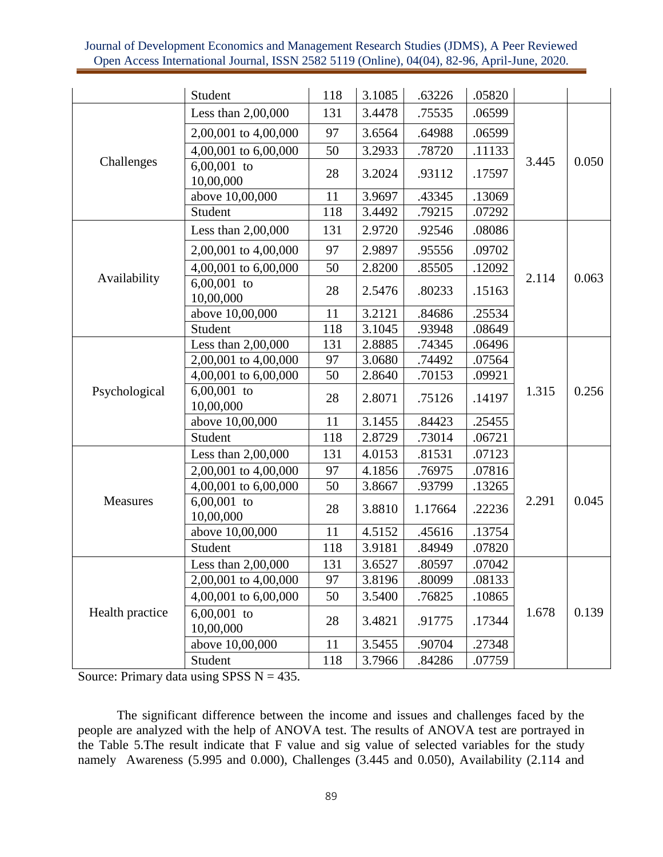|                 | Student                    | 118 | 3.1085 | .63226  | .05820 |       |       |
|-----------------|----------------------------|-----|--------|---------|--------|-------|-------|
|                 | Less than 2,00,000         | 131 | 3.4478 | .75535  | .06599 |       |       |
|                 | 2,00,001 to 4,00,000       | 97  | 3.6564 | .64988  | .06599 |       |       |
|                 | 4,00,001 to 6,00,000       | 50  | 3.2933 | .78720  | .11133 |       |       |
| Challenges      | $6,00,001$ to<br>10,00,000 | 28  | 3.2024 | .93112  | .17597 | 3.445 | 0.050 |
|                 | above 10,00,000            | 11  | 3.9697 | .43345  | .13069 |       |       |
|                 | Student                    | 118 | 3.4492 | .79215  | .07292 |       |       |
|                 | Less than 2,00,000         | 131 | 2.9720 | .92546  | .08086 |       |       |
|                 | 2,00,001 to 4,00,000       | 97  | 2.9897 | .95556  | .09702 |       |       |
|                 | 4,00,001 to 6,00,000       | 50  | 2.8200 | .85505  | .12092 |       |       |
| Availability    | $6,00,001$ to<br>10,00,000 | 28  | 2.5476 | .80233  | .15163 | 2.114 | 0.063 |
|                 | above 10,00,000            | 11  | 3.2121 | .84686  | .25534 |       |       |
|                 | Student                    | 118 | 3.1045 | .93948  | .08649 |       |       |
|                 | Less than 2,00,000         | 131 | 2.8885 | .74345  | .06496 |       |       |
|                 | 2,00,001 to 4,00,000       | 97  | 3.0680 | .74492  | .07564 |       |       |
|                 | 4,00,001 to 6,00,000       | 50  | 2.8640 | .70153  | .09921 | 1.315 |       |
| Psychological   | $6,00,001$ to<br>10,00,000 | 28  | 2.8071 | .75126  | .14197 |       | 0.256 |
|                 | above 10,00,000            | 11  | 3.1455 | .84423  | .25455 |       |       |
|                 | Student                    | 118 | 2.8729 | .73014  | .06721 |       |       |
|                 | Less than 2,00,000         | 131 | 4.0153 | .81531  | .07123 |       |       |
|                 | 2,00,001 to 4,00,000       | 97  | 4.1856 | .76975  | .07816 |       |       |
|                 | 4,00,001 to 6,00,000       | 50  | 3.8667 | .93799  | .13265 |       |       |
| Measures        | $6,00,001$ to<br>10,00,000 | 28  | 3.8810 | 1.17664 | .22236 | 2.291 | 0.045 |
|                 | above 10,00,000            | 11  | 4.5152 | .45616  | .13754 |       |       |
|                 | Student                    | 118 | 3.9181 | .84949  | .07820 |       |       |
|                 | Less than $2,00,000$       | 131 | 3.6527 | .80597  | .07042 |       |       |
|                 | 2,00,001 to 4,00,000       | 97  | 3.8196 | .80099  | .08133 |       |       |
|                 | 4,00,001 to 6,00,000       | 50  | 3.5400 | .76825  | .10865 |       |       |
| Health practice | $6,00,001$ to<br>10,00,000 | 28  | 3.4821 | .91775  | .17344 | 1.678 | 0.139 |
|                 | above 10,00,000            | 11  | 3.5455 | .90704  | .27348 |       |       |
|                 | Student                    | 118 | 3.7966 | .84286  | .07759 |       |       |

Source: Primary data using SPSS  $N = 435$ .

The significant difference between the income and issues and challenges faced by the people are analyzed with the help of ANOVA test. The results of ANOVA test are portrayed in the Table 5.The result indicate that F value and sig value of selected variables for the study namely Awareness (5.995 and 0.000), Challenges (3.445 and 0.050), Availability (2.114 and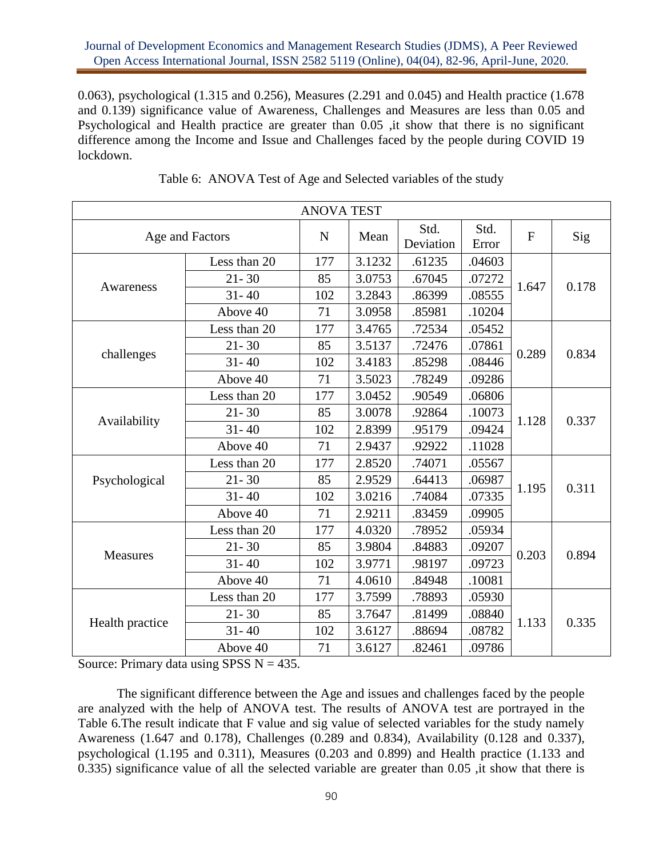0.063), psychological (1.315 and 0.256), Measures (2.291 and 0.045) and Health practice (1.678 and 0.139) significance value of Awareness, Challenges and Measures are less than 0.05 and Psychological and Health practice are greater than 0.05 ,it show that there is no significant difference among the Income and Issue and Challenges faced by the people during COVID 19 lockdown.

|                 |                 | <b>ANOVA TEST</b> |        |                   |               |                |       |
|-----------------|-----------------|-------------------|--------|-------------------|---------------|----------------|-------|
|                 | Age and Factors | $\mathbf N$       | Mean   | Std.<br>Deviation | Std.<br>Error | $\overline{F}$ | Sig   |
|                 | Less than 20    | 177               | 3.1232 | .61235            | .04603        |                |       |
| Awareness       | $21 - 30$       | 85                | 3.0753 | .67045            | .07272        | 1.647          | 0.178 |
|                 | $31 - 40$       | 102               | 3.2843 | .86399            | .08555        |                |       |
|                 | Above 40        | 71                | 3.0958 | .85981            | .10204        |                |       |
|                 | Less than 20    | 177               | 3.4765 | .72534            | .05452        |                |       |
|                 | $21 - 30$       | 85                | 3.5137 | .72476            | .07861        | 0.289          | 0.834 |
| challenges      | $31 - 40$       | 102               | 3.4183 | .85298            | .08446        |                |       |
|                 | Above 40        | 71                | 3.5023 | .78249            | .09286        |                |       |
|                 | Less than 20    | 177               | 3.0452 | .90549            | .06806        |                |       |
|                 | $21 - 30$       | 85                | 3.0078 | .92864            | .10073        | 1.128          | 0.337 |
| Availability    | $31 - 40$       | 102               | 2.8399 | .95179            | .09424        |                |       |
|                 | Above 40        | 71                | 2.9437 | .92922            | .11028        |                |       |
|                 | Less than 20    | 177               | 2.8520 | .74071            | .05567        |                |       |
| Psychological   | $21 - 30$       | 85                | 2.9529 | .64413            | .06987        | 1.195          | 0.311 |
|                 | $31 - 40$       | 102               | 3.0216 | .74084            | .07335        |                |       |
|                 | Above 40        | 71                | 2.9211 | .83459            | .09905        |                |       |
|                 | Less than 20    | 177               | 4.0320 | .78952            | .05934        |                |       |
| Measures        | $21 - 30$       | 85                | 3.9804 | .84883            | .09207        | 0.203          | 0.894 |
|                 | $31 - 40$       | 102               | 3.9771 | .98197            | .09723        |                |       |
|                 | Above 40        | 71                | 4.0610 | .84948            | .10081        |                |       |
|                 | Less than 20    | 177               | 3.7599 | .78893            | .05930        |                |       |
|                 | $21 - 30$       | 85                | 3.7647 | .81499            | .08840        |                |       |
| Health practice | $31 - 40$       | 102               | 3.6127 | .88694            | .08782        | 1.133          | 0.335 |
|                 | Above 40        | 71                | 3.6127 | .82461            | .09786        |                |       |

|  | Table 6: ANOVA Test of Age and Selected variables of the study |  |  |  |
|--|----------------------------------------------------------------|--|--|--|
|  |                                                                |  |  |  |

Source: Primary data using SPSS  $N = 435$ .

The significant difference between the Age and issues and challenges faced by the people are analyzed with the help of ANOVA test. The results of ANOVA test are portrayed in the Table 6.The result indicate that F value and sig value of selected variables for the study namely Awareness (1.647 and 0.178), Challenges (0.289 and 0.834), Availability (0.128 and 0.337), psychological (1.195 and 0.311), Measures (0.203 and 0.899) and Health practice (1.133 and 0.335) significance value of all the selected variable are greater than 0.05 ,it show that there is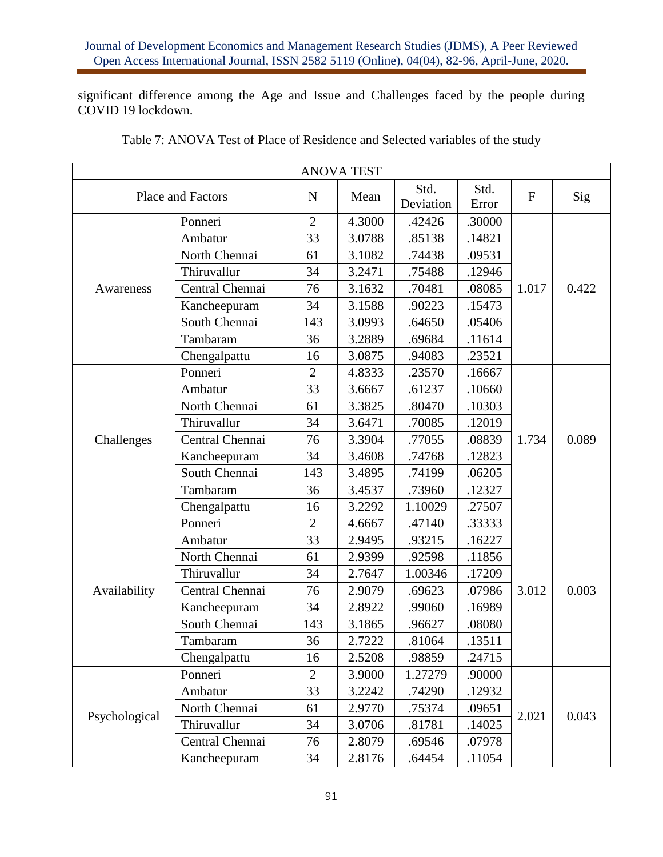significant difference among the Age and Issue and Challenges faced by the people during COVID 19 lockdown.

| <b>ANOVA TEST</b> |                   |                |        |                   |               |              |       |
|-------------------|-------------------|----------------|--------|-------------------|---------------|--------------|-------|
|                   | Place and Factors | $\mathbf N$    | Mean   | Std.<br>Deviation | Std.<br>Error | $\mathbf{F}$ | Sig   |
|                   | Ponneri           | $\overline{2}$ | 4.3000 | .42426            | .30000        |              |       |
|                   | Ambatur           | 33             | 3.0788 | .85138            | .14821        |              |       |
|                   | North Chennai     | 61             | 3.1082 | .74438            | .09531        |              |       |
|                   | Thiruvallur       | 34             | 3.2471 | .75488            | .12946        |              |       |
| Awareness         | Central Chennai   | 76             | 3.1632 | .70481            | .08085        | 1.017        | 0.422 |
|                   | Kancheepuram      | 34             | 3.1588 | .90223            | .15473        |              |       |
|                   | South Chennai     | 143            | 3.0993 | .64650            | .05406        |              |       |
|                   | Tambaram          | 36             | 3.2889 | .69684            | .11614        |              |       |
|                   | Chengalpattu      | 16             | 3.0875 | .94083            | .23521        |              |       |
|                   | Ponneri           | $\overline{2}$ | 4.8333 | .23570            | .16667        |              |       |
|                   | Ambatur           | 33             | 3.6667 | .61237            | .10660        |              |       |
|                   | North Chennai     | 61             | 3.3825 | .80470            | .10303        |              | 0.089 |
|                   | Thiruvallur       | 34             | 3.6471 | .70085            | .12019        | 1.734        |       |
| Challenges        | Central Chennai   | 76             | 3.3904 | .77055            | .08839        |              |       |
|                   | Kancheepuram      | 34             | 3.4608 | .74768            | .12823        |              |       |
|                   | South Chennai     | 143            | 3.4895 | .74199            | .06205        |              |       |
|                   | Tambaram          | 36             | 3.4537 | .73960            | .12327        |              |       |
|                   | Chengalpattu      | 16             | 3.2292 | 1.10029           | .27507        |              |       |
|                   | Ponneri           | $\overline{2}$ | 4.6667 | .47140            | .33333        |              |       |
|                   | Ambatur           | 33             | 2.9495 | .93215            | .16227        |              |       |
|                   | North Chennai     | 61             | 2.9399 | .92598            | .11856        |              |       |
|                   | Thiruvallur       | 34             | 2.7647 | 1.00346           | .17209        |              |       |
| Availability      | Central Chennai   | 76             | 2.9079 | .69623            | .07986        | 3.012        | 0.003 |
|                   | Kancheepuram      | 34             | 2.8922 | .99060            | .16989        |              |       |
|                   | South Chennai     | 143            | 3.1865 | .96627            | .08080        |              |       |
|                   | Tambaram          | 36             | 2.7222 | .81064            | .13511        |              |       |
|                   | Chengalpattu      | 16             | 2.5208 | .98859            | .24715        |              |       |
|                   | Ponneri           | $\overline{2}$ | 3.9000 | 1.27279           | .90000        |              |       |
|                   | Ambatur           | 33             | 3.2242 | .74290            | .12932        |              |       |
|                   | North Chennai     | 61             | 2.9770 | .75374            | .09651        |              |       |
| Psychological     | Thiruvallur       | 34             | 3.0706 | .81781            | .14025        | 2.021        | 0.043 |
|                   | Central Chennai   | 76             | 2.8079 | .69546            | .07978        |              |       |
|                   | Kancheepuram      | 34             | 2.8176 | .64454            | .11054        |              |       |

Table 7: ANOVA Test of Place of Residence and Selected variables of the study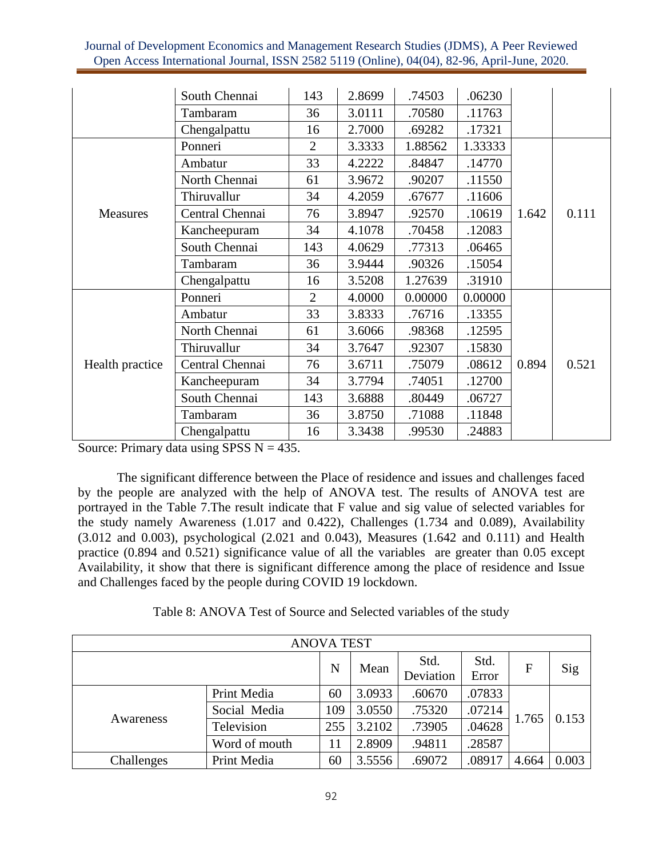|                 | South Chennai   | 143            | 2.8699 | .74503  | .06230  |       |       |
|-----------------|-----------------|----------------|--------|---------|---------|-------|-------|
|                 | Tambaram        | 36             | 3.0111 | .70580  | .11763  |       |       |
|                 | Chengalpattu    | 16             | 2.7000 | .69282  | .17321  |       |       |
|                 | Ponneri         | $\overline{2}$ | 3.3333 | 1.88562 | 1.33333 |       | 0.111 |
|                 | Ambatur         | 33             | 4.2222 | .84847  | .14770  |       |       |
|                 | North Chennai   | 61             | 3.9672 | .90207  | .11550  |       |       |
|                 | Thiruvallur     | 34             | 4.2059 | .67677  | .11606  |       |       |
| <b>Measures</b> | Central Chennai | 76             | 3.8947 | .92570  | .10619  | 1.642 |       |
|                 | Kancheepuram    | 34             | 4.1078 | .70458  | .12083  |       |       |
|                 | South Chennai   | 143            | 4.0629 | .77313  | .06465  |       |       |
|                 | Tambaram        | 36             | 3.9444 | .90326  | .15054  |       |       |
|                 | Chengalpattu    | 16             | 3.5208 | 1.27639 | .31910  |       |       |
|                 | Ponneri         | $\overline{2}$ | 4.0000 | 0.00000 | 0.00000 |       |       |
|                 | Ambatur         | 33             | 3.8333 | .76716  | .13355  |       |       |
|                 | North Chennai   | 61             | 3.6066 | .98368  | .12595  |       |       |
| Health practice | Thiruvallur     | 34             | 3.7647 | .92307  | .15830  |       |       |
|                 | Central Chennai | 76             | 3.6711 | .75079  | .08612  | 0.894 | 0.521 |
|                 | Kancheepuram    | 34             | 3.7794 | .74051  | .12700  |       |       |
|                 | South Chennai   | 143            | 3.6888 | .80449  | .06727  |       |       |
|                 | Tambaram        | 36             | 3.8750 | .71088  | .11848  |       |       |
|                 | Chengalpattu    | 16             | 3.3438 | .99530  | .24883  |       |       |

Source: Primary data using SPSS  $N = 435$ .

The significant difference between the Place of residence and issues and challenges faced by the people are analyzed with the help of ANOVA test. The results of ANOVA test are portrayed in the Table 7.The result indicate that F value and sig value of selected variables for the study namely Awareness (1.017 and 0.422), Challenges (1.734 and 0.089), Availability (3.012 and 0.003), psychological (2.021 and 0.043), Measures (1.642 and 0.111) and Health practice (0.894 and 0.521) significance value of all the variables are greater than 0.05 except Availability, it show that there is significant difference among the place of residence and Issue and Challenges faced by the people during COVID 19 lockdown.

Table 8: ANOVA Test of Source and Selected variables of the study

| <b>ANOVA TEST</b> |               |     |        |                   |               |       |       |  |
|-------------------|---------------|-----|--------|-------------------|---------------|-------|-------|--|
|                   |               | N   | Mean   | Std.<br>Deviation | Std.<br>Error | F     | Sig   |  |
| Awareness         | Print Media   | 60  | 3.0933 | .60670            | .07833        | 1.765 | 0.153 |  |
|                   | Social Media  | 109 | 3.0550 | .75320            | .07214        |       |       |  |
|                   | Television    | 255 | 3.2102 | .73905            | .04628        |       |       |  |
|                   | Word of mouth | 11  | 2.8909 | .94811            | .28587        |       |       |  |
| Challenges        | Print Media   | 60  | 3.5556 | .69072            | .08917        | 4.664 | 0.003 |  |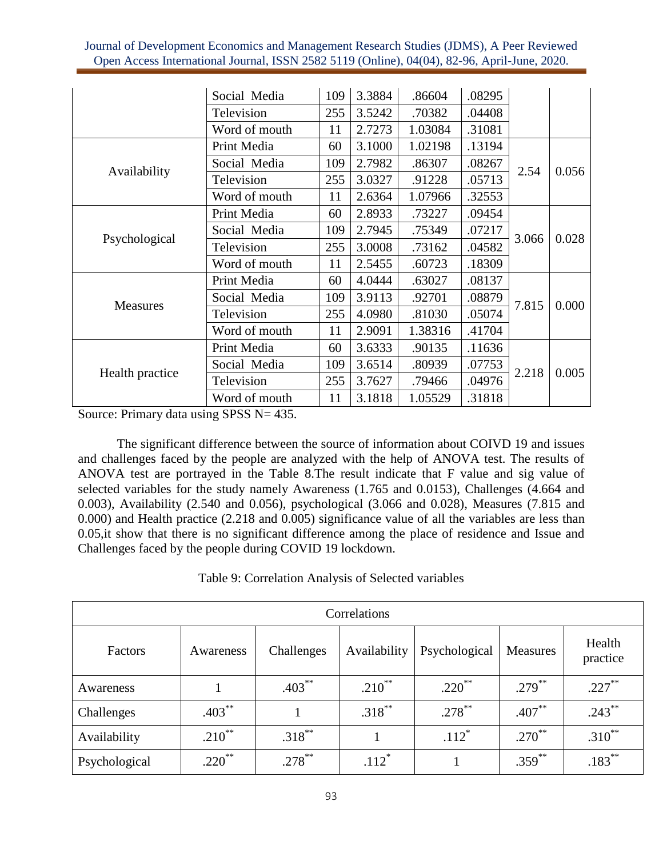|                                                     | Social Media  | 109                                                                                                                                                                                  | 3.3884 | .86604  | .08295 |       |       |
|-----------------------------------------------------|---------------|--------------------------------------------------------------------------------------------------------------------------------------------------------------------------------------|--------|---------|--------|-------|-------|
|                                                     | Television    | 255                                                                                                                                                                                  | 3.5242 | .70382  | .04408 |       |       |
|                                                     | Word of mouth | 11                                                                                                                                                                                   | 2.7273 | 1.03084 | .31081 |       |       |
| Availability                                        | Print Media   | 60                                                                                                                                                                                   | 3.1000 | 1.02198 | .13194 |       | 0.056 |
|                                                     | Social Media  | 109                                                                                                                                                                                  | 2.7982 | .86307  | .08267 | 2.54  |       |
|                                                     | Television    | 255                                                                                                                                                                                  | 3.0327 | .91228  | .05713 |       |       |
|                                                     | Word of mouth | 11                                                                                                                                                                                   | 2.6364 | 1.07966 | .32553 |       |       |
|                                                     | Print Media   | 60                                                                                                                                                                                   | 2.8933 | .73227  | .09454 | 3.066 | 0.028 |
|                                                     | Social Media  | 109                                                                                                                                                                                  | 2.7945 | .75349  | .07217 |       |       |
|                                                     | Television    | 255                                                                                                                                                                                  | 3.0008 | .73162  | .04582 |       |       |
|                                                     | Word of mouth | 11                                                                                                                                                                                   | 2.5455 | .60723  | .18309 |       |       |
|                                                     | Print Media   | 60                                                                                                                                                                                   | 4.0444 | .63027  | .08137 |       | 0.000 |
|                                                     | Social Media  | 109                                                                                                                                                                                  | 3.9113 | .92701  | .08879 | 7.815 |       |
| Psychological<br><b>Measures</b><br>Health practice | Television    | 255                                                                                                                                                                                  | 4.0980 | .81030  | .05074 |       |       |
|                                                     | Word of mouth | 11<br>2.9091<br>1.38316<br>.41704<br>3.6333<br>.90135<br>.11636<br>60<br>3.6514<br>109<br>.80939<br>.07753<br>255<br>3.7627<br>.04976<br>.79466<br>3.1818<br>.31818<br>11<br>1.05529 |        |         |        |       |       |
|                                                     | Print Media   |                                                                                                                                                                                      |        |         |        |       | 0.005 |
|                                                     | Social Media  |                                                                                                                                                                                      |        |         |        | 2.218 |       |
|                                                     | Television    |                                                                                                                                                                                      |        |         |        |       |       |
|                                                     | Word of mouth |                                                                                                                                                                                      |        |         |        |       |       |

Source: Primary data using SPSS N= 435.

The significant difference between the source of information about COIVD 19 and issues and challenges faced by the people are analyzed with the help of ANOVA test. The results of ANOVA test are portrayed in the Table 8.The result indicate that F value and sig value of selected variables for the study namely Awareness (1.765 and 0.0153), Challenges (4.664 and 0.003), Availability (2.540 and 0.056), psychological (3.066 and 0.028), Measures (7.815 and 0.000) and Health practice (2.218 and 0.005) significance value of all the variables are less than 0.05,it show that there is no significant difference among the place of residence and Issue and Challenges faced by the people during COVID 19 lockdown.

Table 9: Correlation Analysis of Selected variables

| Correlations  |             |            |              |               |             |                    |  |  |  |
|---------------|-------------|------------|--------------|---------------|-------------|--------------------|--|--|--|
| Factors       | Awareness   | Challenges | Availability | Psychological | Measures    | Health<br>practice |  |  |  |
| Awareness     |             | $.403***$  | .210**       | $.220$ **     | $.279$ **   | $.227***$          |  |  |  |
| Challenges    | $.403***$   |            | $.318***$    | $.278$ **     | $.407***$   | $.243***$          |  |  |  |
| Availability  | $.210^{**}$ | $.318***$  |              | $.112*$       | $.270^{**}$ | $.310^{**}$        |  |  |  |
| Psychological | $.220$ **   | $.278***$  | $.112*$      |               | $.359***$   | $.183***$          |  |  |  |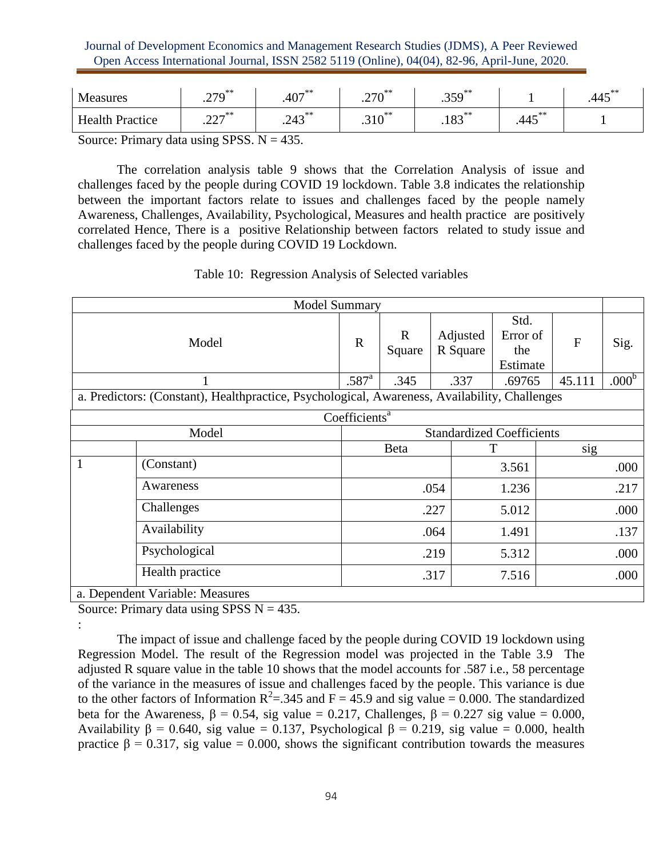| Measures                                                                                                                                                                                                                                                                                                                                                                                                                 | $270$ <sup>**</sup><br>ر این | $.407***$ | $270$ <sup>**</sup><br>.210 | $.359^{**}$                 |                                   | $.445***$ |  |  |
|--------------------------------------------------------------------------------------------------------------------------------------------------------------------------------------------------------------------------------------------------------------------------------------------------------------------------------------------------------------------------------------------------------------------------|------------------------------|-----------|-----------------------------|-----------------------------|-----------------------------------|-----------|--|--|
| <b>Health Practice</b>                                                                                                                                                                                                                                                                                                                                                                                                   | 227<br>ا ساسا .              | $.243***$ | $.310^{**}$                 | $102$ <sup>**</sup><br>.103 | $\mathbf{A} = \mathbf{A}$<br>.443 |           |  |  |
| $\Gamma_{\text{correspond}}$ $\Gamma_{\text{m}}$ $\Gamma_{\text{c}}$ $\Gamma_{\text{c}}$ $\Gamma_{\text{c}}$ $\Gamma_{\text{c}}$ $\Gamma_{\text{c}}$ $\Gamma_{\text{c}}$ $\Gamma_{\text{c}}$ $\Gamma_{\text{c}}$ $\Gamma_{\text{c}}$ $\Gamma_{\text{c}}$ $\Gamma_{\text{c}}$ $\Gamma_{\text{c}}$ $\Gamma_{\text{c}}$ $\Gamma_{\text{c}}$ $\Gamma_{\text{c}}$ $\Gamma_{\text{c}}$ $\Gamma_{\text{c}}$ $\Gamma_{\text{c}}$ |                              |           |                             |                             |                                   |           |  |  |

Source: Primary data using SPSS.  $N = 435$ .

The correlation analysis table 9 shows that the Correlation Analysis of issue and challenges faced by the people during COVID 19 lockdown. Table 3.8 indicates the relationship between the important factors relate to issues and challenges faced by the people namely Awareness, Challenges, Availability, Psychological, Measures and health practice are positively correlated Hence, There is a positive Relationship between factors related to study issue and challenges faced by the people during COVID 19 Lockdown.

| <b>Model Summary</b> |                                                                                               |                                  |                       |                      |                                     |           |                   |  |
|----------------------|-----------------------------------------------------------------------------------------------|----------------------------------|-----------------------|----------------------|-------------------------------------|-----------|-------------------|--|
| Model                |                                                                                               | $\mathbf R$                      | $\mathbf R$<br>Square | Adjusted<br>R Square | Std.<br>Error of<br>the<br>Estimate | ${\bf F}$ | Sig.              |  |
|                      |                                                                                               | .587 <sup>a</sup>                | .345                  | .337                 | .69765                              | 45.111    | .000 <sup>b</sup> |  |
|                      | a. Predictors: (Constant), Healthpractice, Psychological, Awareness, Availability, Challenges |                                  |                       |                      |                                     |           |                   |  |
|                      |                                                                                               | Coefficients <sup>a</sup>        |                       |                      |                                     |           |                   |  |
| Model                |                                                                                               | <b>Standardized Coefficients</b> |                       |                      |                                     |           |                   |  |
|                      |                                                                                               |                                  | Beta                  |                      | sig<br>Т                            |           |                   |  |
| 1                    | (Constant)                                                                                    |                                  |                       |                      | 3.561                               |           | .000              |  |
|                      | Awareness                                                                                     |                                  |                       | .054                 | 1.236                               |           | .217              |  |
|                      | Challenges                                                                                    |                                  |                       | .227                 | 5.012                               |           | .000              |  |
|                      | Availability                                                                                  |                                  |                       | .064                 | 1.491                               |           | .137              |  |
|                      | Psychological                                                                                 |                                  |                       | .219                 | 5.312                               |           | .000              |  |
|                      | Health practice                                                                               |                                  |                       | .317                 | 7.516                               |           | .000              |  |
|                      | a. Dependent Variable: Measures                                                               |                                  |                       |                      |                                     |           |                   |  |

Table 10: Regression Analysis of Selected variables

Source: Primary data using SPSS  $N = 435$ .

:

The impact of issue and challenge faced by the people during COVID 19 lockdown using Regression Model. The result of the Regression model was projected in the Table 3.9 The adjusted R square value in the table 10 shows that the model accounts for .587 i.e., 58 percentage of the variance in the measures of issue and challenges faced by the people. This variance is due to the other factors of Information  $R^2 = 0.345$  and  $F = 45.9$  and sig value = 0.000. The standardized beta for the Awareness,  $\beta = 0.54$ , sig value = 0.217, Challenges,  $\beta = 0.227$  sig value = 0.000, Availability  $\beta = 0.640$ , sig value = 0.137, Psychological  $\beta = 0.219$ , sig value = 0.000, health practice  $\beta = 0.317$ , sig value = 0.000, shows the significant contribution towards the measures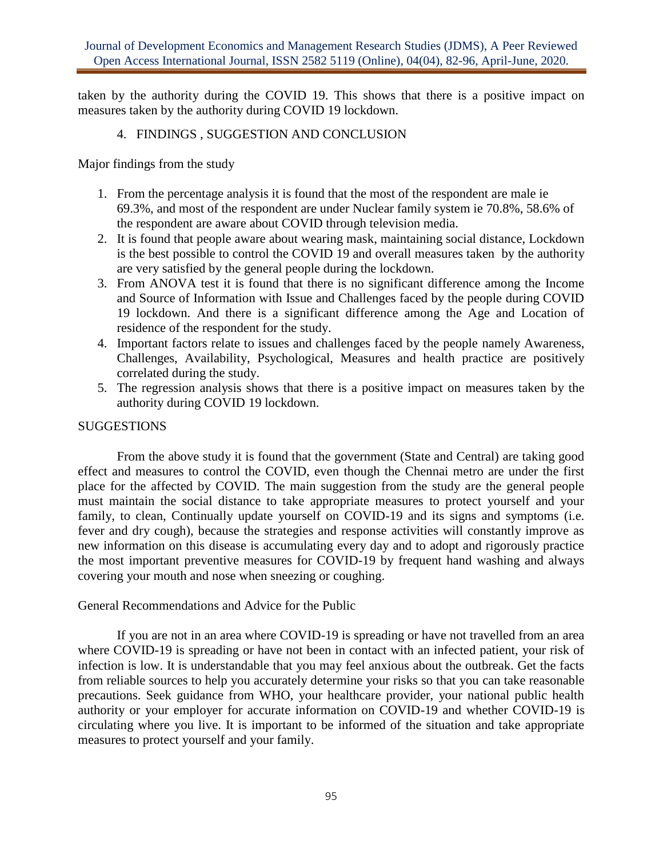taken by the authority during the COVID 19. This shows that there is a positive impact on measures taken by the authority during COVID 19 lockdown.

### 4. FINDINGS , SUGGESTION AND CONCLUSION

Major findings from the study

- 1. From the percentage analysis it is found that the most of the respondent are male ie 69.3%, and most of the respondent are under Nuclear family system ie 70.8%, 58.6% of the respondent are aware about COVID through television media.
- 2. It is found that people aware about wearing mask, maintaining social distance, Lockdown is the best possible to control the COVID 19 and overall measures taken by the authority are very satisfied by the general people during the lockdown.
- 3. From ANOVA test it is found that there is no significant difference among the Income and Source of Information with Issue and Challenges faced by the people during COVID 19 lockdown. And there is a significant difference among the Age and Location of residence of the respondent for the study.
- 4. Important factors relate to issues and challenges faced by the people namely Awareness, Challenges, Availability, Psychological, Measures and health practice are positively correlated during the study.
- 5. The regression analysis shows that there is a positive impact on measures taken by the authority during COVID 19 lockdown.

### **SUGGESTIONS**

From the above study it is found that the government (State and Central) are taking good effect and measures to control the COVID, even though the Chennai metro are under the first place for the affected by COVID. The main suggestion from the study are the general people must maintain the social distance to take appropriate measures to protect yourself and your family, to clean, Continually update yourself on COVID-19 and its signs and symptoms (i.e. fever and dry cough), because the strategies and response activities will constantly improve as new information on this disease is accumulating every day and to adopt and rigorously practice the most important preventive measures for COVID-19 by frequent hand washing and always covering your mouth and nose when sneezing or coughing.

### General Recommendations and Advice for the Public

If you are not in an area where COVID-19 is spreading or have not travelled from an area where COVID-19 is spreading or have not been in contact with an infected patient, your risk of infection is low. It is understandable that you may feel anxious about the outbreak. Get the facts from reliable sources to help you accurately determine your risks so that you can take reasonable precautions. Seek guidance from WHO, your healthcare provider, your national public health authority or your employer for accurate information on COVID-19 and whether COVID-19 is circulating where you live. It is important to be informed of the situation and take appropriate measures to protect yourself and your family.